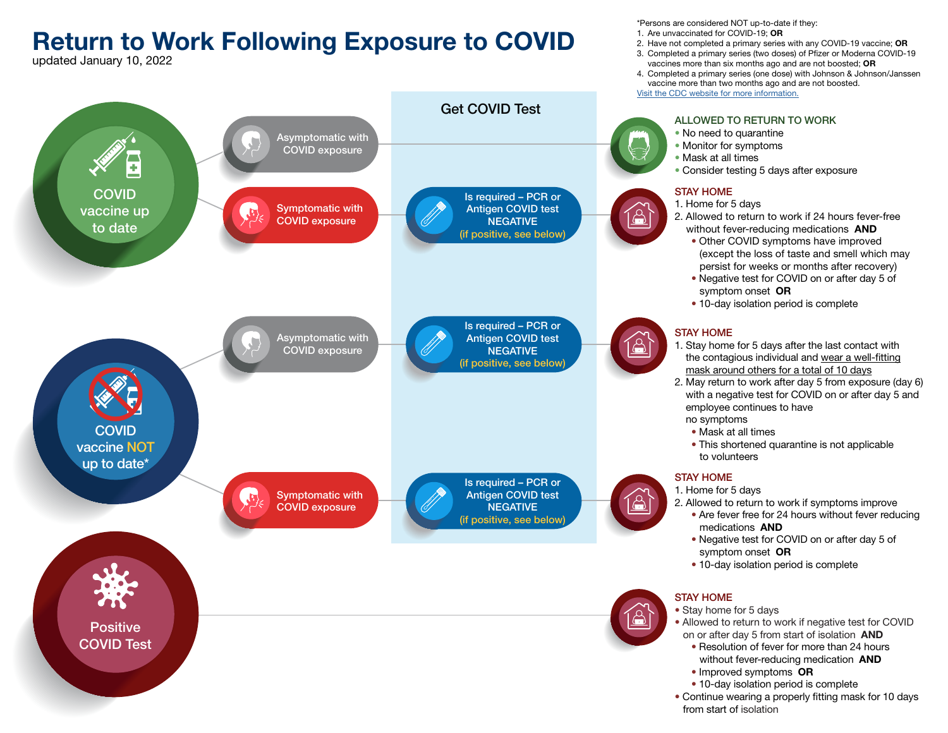# Return to Work Following Exposure to COVID

updated January 10, 2022



\*Persons are considered NOT up-to-date if they:

- 1. Are unvaccinated for COVID-19: OR
- 2. Have not completed a primary series with any COVID-19 vaccine; OR 3. Completed a primary series (two doses) of Pfizer or Moderna COVID-19
- vaccines more than six months ago and are not boosted; OR
- 4. Completed a primary series (one dose) with Johnson & Johnson/Janssen vaccine more than two months ago and are not boosted.

[Visit the CDC website for more information.](https://www.cdc.gov/coronavirus/2019-ncov/vaccines/booster-shot.html?s_cid=11706:cdc%20covid%20booster:sem.ga:p:RG:GM:gen:PTN:FY22)

- 2. Allowed to return to work if symptoms improve
	- Are fever free for 24 hours without fever reducing medications AND
	- Negative test for COVID on or after day 5 of symptom onset OR
	- 10-day isolation period is complete

• Stay home for 5 days

- Allowed to return to work if negative test for COVID on or after day 5 from start of isolation AND
	- Resolution of fever for more than 24 hours without fever-reducing medication **AND**
	- Improved symptoms OR
	- 10-day isolation period is complete
- Continue wearing a properly fitting mask for 10 days from start of isolation